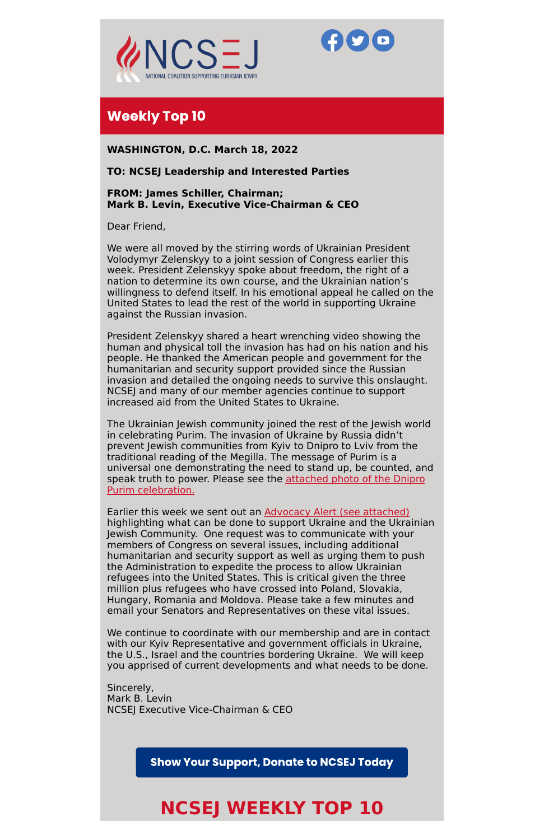



## **Weekly Top 10**

**WASHINGTON, D.C. March 18, 2022**

#### **TO: NCSEJ Leadership and Interested Parties**

**FROM: James Schiller, Chairman; Mark B. Levin, Executive Vice-Chairman & CEO**

Dear Friend,

We were all moved by the stirring words of Ukrainian President Volodymyr Zelenskyy to a joint session of Congress earlier this week. President Zelenskyy spoke about freedom, the right of a nation to determine its own course, and the Ukrainian nation's willingness to defend itself. In his emotional appeal he called on the United States to lead the rest of the world in supporting Ukraine against the Russian invasion.

President Zelenskyy shared a heart wrenching video showing the human and physical toll the invasion has had on his nation and his people. He thanked the American people and government for the humanitarian and security support provided since the Russian invasion and detailed the ongoing needs to survive this onslaught. NCSEJ and many of our member agencies continue to support increased aid from the United States to Ukraine.

The Ukrainian Jewish community joined the rest of the Jewish world in celebrating Purim. The invasion of Ukraine by Russia didn't prevent Jewish communities from Kyiv to Dnipro to Lviv from the traditional reading of the Megilla. The message of Purim is a universal one demonstrating the need to stand up, be counted, and speak truth to power. Please see the attached photo of the Dnipro Purim [celebration.](https://d1a8dioxuajlzs.cloudfront.net/accounts/10513/original/666CB4D2-BB46-47C8-891A-7B740AE5CEFD_1_201_a.pdf?1647457282)

Earlier this week we sent out an Advocacy Alert (see [attached\)](https://roblyimages.s3.amazonaws.com/accounts/10513/pdf/bd52bda60009bd6fc6b78.pdf) highlighting what can be done to support Ukraine and the Ukrainian Jewish Community. One request was to communicate with your members of Congress on several issues, including additional humanitarian and security support as well as urging them to push the Administration to expedite the process to allow Ukrainian refugees into the United States. This is critical given the three million plus refugees who have crossed into Poland, Slovakia, Hungary, Romania and Moldova. Please take a few minutes and email your Senators and Representatives on these vital issues.

We continue to coordinate with our membership and are in contact with our Kyiv Representative and government officials in Ukraine, the U.S., Israel and the countries bordering Ukraine. We will keep you apprised of current developments and what needs to be done.

Sincerely, Mark B. Levin NCSEJ Executive Vice-Chairman & CEO

**Show Your Support, Donate to NCSEJ Today** 

# **NCSEJ WEEKLY TOP 10**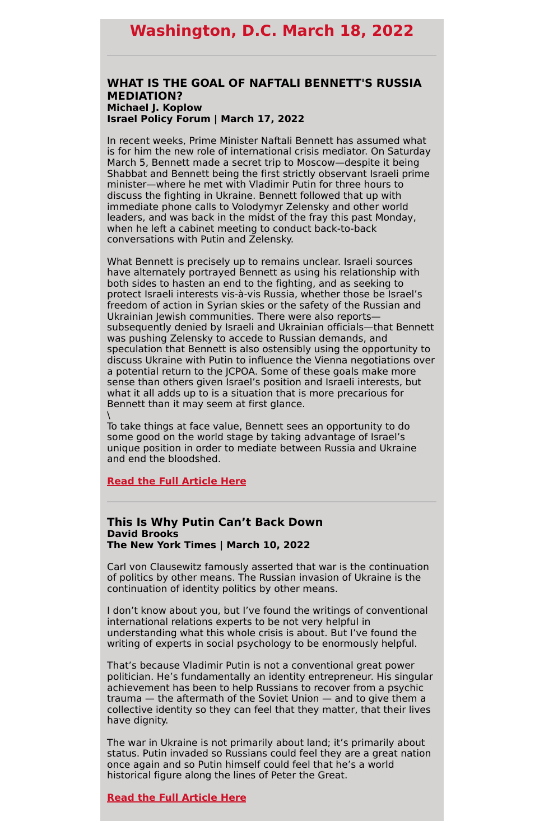# **Washington, D.C. March 18, 2022**

#### **WHAT IS THE GOAL OF NAFTALI BENNETT'S RUSSIA MEDIATION? Michael J. Koplow Israel Policy Forum | March 17, 2022**

What Bennett is precisely up to remains unclear. Israeli sources have alternately portrayed Bennett as using his relationship with both sides to hasten an end to the fighting, and as seeking to protect Israeli interests vis-à-vis Russia, whether those be Israel's freedom of action in Syrian skies or the safety of the Russian and Ukrainian Jewish communities. There were also reports subsequently denied by Israeli and Ukrainian officials—that Bennett was pushing Zelensky to accede to Russian demands, and speculation that Bennett is also ostensibly using the opportunity to discuss Ukraine with Putin to influence the Vienna negotiations over a potential return to the JCPOA. Some of these goals make more sense than others given Israel's position and Israeli interests, but what it all adds up to is a situation that is more precarious for Bennett than it may seem at first glance.  $\setminus$ 

In recent weeks, Prime Minister Naftali Bennett has assumed what is for him the new role of international crisis mediator. On Saturday March 5, Bennett made a secret trip to Moscow—despite it being Shabbat and Bennett being the first strictly observant Israeli prime minister—where he met with Vladimir Putin for three hours to discuss the fighting in Ukraine. Bennett followed that up with immediate phone calls to Volodymyr Zelensky and other world leaders, and was back in the midst of the fray this past Monday, when he left a cabinet meeting to conduct back-to-back conversations with Putin and Zelensky.

To take things at face value, Bennett sees an opportunity to do some good on the world stage by taking advantage of Israel's unique position in order to mediate between Russia and Ukraine and end the bloodshed.

#### **Read the Full [Article](https://israelpolicyforum.org/2022/03/17/what-is-the-goal-of-naftali-bennetts-russia-mediation/?utm_source=koplow_column&utm_medium=email&utm_campaign=koplow_column&utm_id=koplow_column) Here**

#### **This Is Why Putin Can't Back Down David Brooks The New York Times | March 10, 2022**

Carl von Clausewitz famously asserted that war is the continuation of politics by other means. The Russian invasion of Ukraine is the continuation of identity politics by other means.

I don't know about you, but I've found the writings of conventional international relations experts to be not very helpful in understanding what this whole crisis is about. But I've found the writing of experts in social psychology to be enormously helpful.

That's because Vladimir Putin is not a conventional great power politician. He's fundamentally an identity entrepreneur. His singular achievement has been to help Russians to recover from a psychic trauma — the aftermath of the Soviet Union — and to give them a collective identity so they can feel that they matter, that their lives have dignity.

The war in Ukraine is not primarily about land; it's primarily about status. Putin invaded so Russians could feel they are a great nation once again and so Putin himself could feel that he's a world historical figure along the lines of Peter the Great.

**Read the Full [Article](https://www.nytimes.com/2022/03/10/opinion/putin-ukraine-russia-identity.html) Here**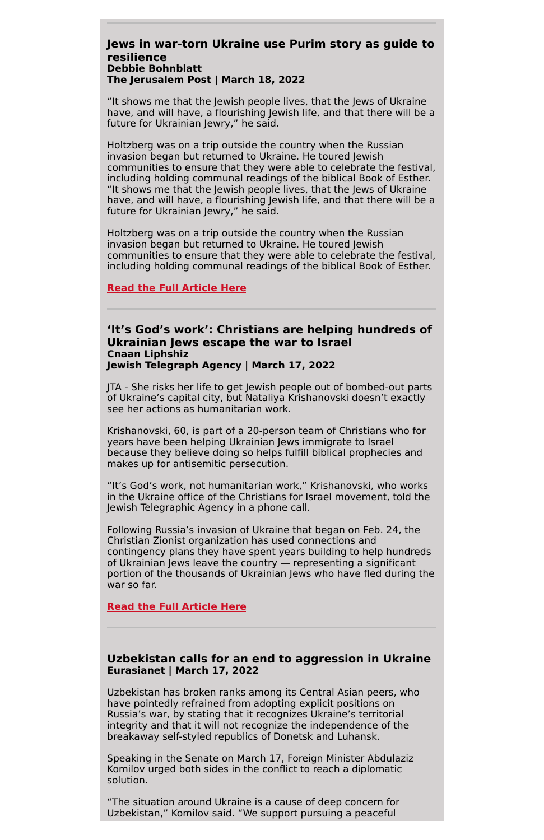#### **Jews in war-torn Ukraine use Purim story as guide to resilience Debbie Bohnblatt The Jerusalem Post | March 18, 2022**

"It shows me that the Jewish people lives, that the Jews of Ukraine have, and will have, a flourishing Jewish life, and that there will be a future for Ukrainian Jewry," he said.

Holtzberg was on a trip outside the country when the Russian invasion began but returned to Ukraine. He toured Jewish communities to ensure that they were able to celebrate the festival, including holding communal readings of the biblical Book of Esther. "It shows me that the Jewish people lives, that the Jews of Ukraine have, and will have, a flourishing Jewish life, and that there will be a future for Ukrainian Jewry," he said.

Holtzberg was on a trip outside the country when the Russian invasion began but returned to Ukraine. He toured Jewish communities to ensure that they were able to celebrate the festival, including holding communal readings of the biblical Book of Esther.

#### **Read the Full [Article](https://www.jpost.com/diaspora/article-701678) Here**

#### **'It's God's work': Christians are helping hundreds of Ukrainian Jews escape the war to Israel Cnaan Liphshiz Jewish Telegraph Agency | March 17, 2022**

JTA - She risks her life to get Jewish people out of bombed-out parts of Ukraine's capital city, but Nataliya Krishanovski doesn't exactly see her actions as humanitarian work.

Krishanovski, 60, is part of a 20-person team of Christians who for years have been helping Ukrainian Jews immigrate to Israel because they believe doing so helps fulfill biblical prophecies and makes up for antisemitic persecution.

"It's God's work, not humanitarian work," Krishanovski, who works in the Ukraine office of the Christians for Israel movement, told the Jewish Telegraphic Agency in a phone call.

Following Russia's invasion of Ukraine that began on Feb. 24, the Christian Zionist organization has used connections and contingency plans they have spent years building to help hundreds of Ukrainian Jews leave the country — representing a significant portion of the thousands of Ukrainian Jews who have fled during the war so far.

#### **Read the Full [Article](https://www.jta.org/2022/03/17/global/its-gods-work-christians-are-helping-ukrainian-jews-escape-the-war-to-israel) Here**

#### **Uzbekistan calls for an end to aggression in Ukraine Eurasianet | March 17, 2022**

Uzbekistan has broken ranks among its Central Asian peers, who have pointedly refrained from adopting explicit positions on Russia's war, by stating that it recognizes Ukraine's territorial integrity and that it will not recognize the independence of the breakaway self-styled republics of Donetsk and Luhansk.

Speaking in the Senate on March 17, Foreign Minister Abdulaziz Komilov urged both sides in the conflict to reach a diplomatic solution.

"The situation around Ukraine is a cause of deep concern for Uzbekistan," Komilov said. "We support pursuing a peaceful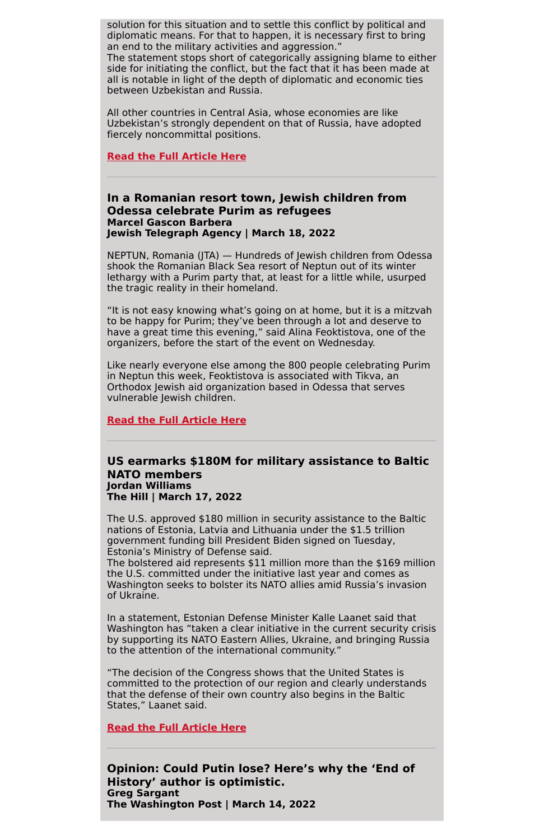solution for this situation and to settle this conflict by political and diplomatic means. For that to happen, it is necessary first to bring an end to the military activities and aggression."

The statement stops short of categorically assigning blame to either side for initiating the conflict, but the fact that it has been made at all is notable in light of the depth of diplomatic and economic ties between Uzbekistan and Russia.

All other countries in Central Asia, whose economies are like Uzbekistan's strongly dependent on that of Russia, have adopted fiercely noncommittal positions.

#### **Read the Full [Article](https://eurasianet.org/uzbekistan-calls-for-an-end-to-aggression-in-ukraine) Here**

#### **In a Romanian resort town, Jewish children from Odessa celebrate Purim as refugees Marcel Gascon Barbera Jewish Telegraph Agency | March 18, 2022**

NEPTUN, Romania (JTA) — Hundreds of Jewish children from Odessa shook the Romanian Black Sea resort of Neptun out of its winter lethargy with a Purim party that, at least for a little while, usurped the tragic reality in their homeland.

"It is not easy knowing what's going on at home, but it is a mitzvah to be happy for Purim; they've been through a lot and deserve to have a great time this evening," said Alina Feoktistova, one of the organizers, before the start of the event on Wednesday.

Like nearly everyone else among the 800 people celebrating Purim in Neptun this week, Feoktistova is associated with Tikva, an Orthodox Jewish aid organization based in Odessa that serves vulnerable Jewish children.

#### **Read the Full [Article](https://www.jta.org/2022/03/18/global/in-a-romanian-resort-town-jewish-children-from-odessa-celebrate-purim-as-refugees) Here**

#### **US earmarks \$180M for military assistance to Baltic NATO members Jordan Williams The Hill | March 17, 2022**

The U.S. approved \$180 million in security assistance to the Baltic nations of Estonia, Latvia and Lithuania under the \$1.5 trillion government funding bill President Biden signed on Tuesday, Estonia's Ministry of Defense said.

The bolstered aid represents \$11 million more than the \$169 million the U.S. committed under the initiative last year and comes as Washington seeks to bolster its NATO allies amid Russia's invasion of Ukraine.

In a statement, Estonian Defense Minister Kalle Laanet said that Washington has "taken a clear initiative in the current security crisis by supporting its NATO Eastern Allies, Ukraine, and bringing Russia to the attention of the international community."

"The decision of the Congress shows that the United States is committed to the protection of our region and clearly understands that the defense of their own country also begins in the Baltic States," Laanet said.

**Read the Full [Article](https://thehill.com/policy/international/598640-us-earmarks-180m-for-military-assistance-to-baltic-nato-members) Here**

**Opinion: Could Putin lose? Here's why the 'End of History' author is optimistic. Greg Sargant The Washington Post | March 14, 2022**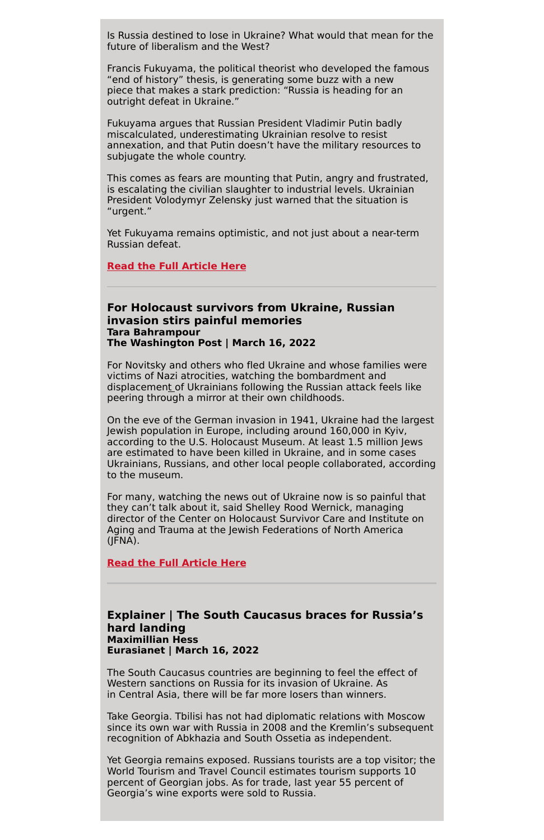Is Russia destined to lose in Ukraine? What would that mean for the future of liberalism and the West?

Francis Fukuyama, the political theorist who developed the famous "end of history" thesis, is generating some buzz with a new piece that makes a stark prediction: "Russia is heading for an outright defeat in Ukraine."

Fukuyama argues that Russian President Vladimir Putin badly miscalculated, underestimating Ukrainian resolve to resist annexation, and that Putin doesn't have the military resources to subjugate the whole country.

This comes as fears are mounting that Putin, angry and frustrated, is escalating the civilian slaughter to industrial levels. Ukrainian President Volodymyr Zelensky just warned that the situation is "urgent."

Yet Fukuyama remains optimistic, and not just about a near-term Russian defeat.

#### **Read the Full [Article](https://www.washingtonpost.com/opinions/2022/03/14/putin-could-lose-ukraine-fukuyama-optimistic/) Here**

#### **For Holocaust survivors from Ukraine, Russian invasion stirs painful memories Tara Bahrampour The Washington Post | March 16, 2022**

For Novitsky and others who fled Ukraine and whose families were victims of Nazi atrocities, watching the bombardment and displaceme[nt](https://www.washingtonpost.com/world/ukraine-russia/?itid=lk_inline_manual_9) of Ukrainians following the Russian attack feels like peering through a mirror at their own childhoods.

On the eve of the German invasion in 1941, Ukraine had the largest Jewish population in Europe, including around 160,000 in Kyiv, according to the U.S. Holocaust Museum. At least 1.5 million Jews are estimated to have been killed in Ukraine, and in some cases Ukrainians, Russians, and other local people collaborated, according to the museum.

For many, watching the news out of Ukraine now is so painful that they can't talk about it, said Shelley Rood Wernick, managing director of the Center on Holocaust Survivor Care and Institute on Aging and Trauma at the Jewish Federations of North America (JFNA).

**Read the Full [Article](https://www.washingtonpost.com/dc-md-va/2022/03/16/ukraine-holocaust-survivors-recall-past/) Here**

### **Explainer | The South Caucasus braces for Russia's**

**hard landing Maximillian Hess Eurasianet | March 16, 2022**

The South Caucasus countries are beginning to feel the effect of Western sanctions on Russia for its invasion of Ukraine. As in Central Asia, there will be far more losers than winners.

Take Georgia. Tbilisi has not had diplomatic relations with Moscow since its own war with Russia in 2008 and the Kremlin's subsequent recognition of Abkhazia and South Ossetia as independent.

Yet Georgia remains exposed. Russians tourists are a top visitor; the World Tourism and Travel Council estimates tourism supports 10 percent of Georgian jobs. As for trade, last year 55 percent of Georgia's wine exports were sold to Russia.